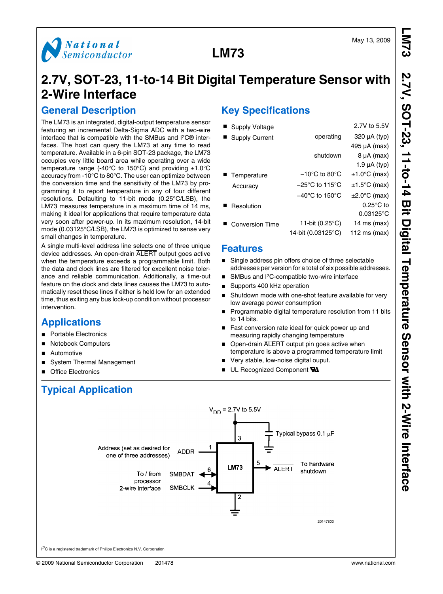



# **2.7V, SOT-23, 11-to-14 Bit Digital Temperature Sensor with 2-Wire Interface**

### **General Description**

The LM73 is an integrated, digital-output temperature sensor featuring an incremental Delta-Sigma ADC with a two-wire interface that is compatible with the SMBus and I2C® interfaces. The host can query the LM73 at any time to read temperature. Available in a 6-pin SOT-23 package, the LM73 occupies very little board area while operating over a wide temperature range (-40 $^{\circ}$ C to 150 $^{\circ}$ C) and providing  $\pm$ 1.0 $^{\circ}$ C accuracy from -10°C to 80°C. The user can optimize between the conversion time and the sensitivity of the LM73 by programming it to report temperature in any of four different resolutions. Defaulting to 11-bit mode (0.25°C/LSB), the LM73 measures temperature in a maximum time of 14 ms, making it ideal for applications that require temperature data very soon after power-up. In its maximum resolution, 14-bit mode (0.03125°C/LSB), the LM73 is optimized to sense very small changes in temperature.

A single multi-level address line selects one of three unique device addresses. An open-drain ALERT output goes active when the temperature exceeds a programmable limit. Both the data and clock lines are filtered for excellent noise tolerance and reliable communication. Additionally, a time-out feature on the clock and data lines causes the LM73 to automatically reset these lines if either is held low for an extended time, thus exiting any bus lock-up condition without processor intervention.

Address (set as desired for

one of three addresses)

To / from

processor

2-wire interface

**ADDR** 

SMRDAT

**SMBCLK** 

### **Applications**

- **Portable Electronics**
- Notebook Computers
- Automotive
- System Thermal Management

**Typical Application**

■ Office Electronics

# **Key Specifications**

| Supply Voltage         |                                     | 2.7V to 5.5V              |
|------------------------|-------------------------------------|---------------------------|
| <b>Supply Current</b>  | operating                           | $320 \mu A$ (typ)         |
|                        |                                     | $495 \mu A$ (max)         |
|                        | shutdown                            | $8 \mu A$ (max)           |
|                        |                                     | 1.9 $\mu$ A (typ)         |
| Temperature            | $-10^{\circ}$ C to 80 $^{\circ}$ C  | $±1.0°C$ (max)            |
| Accuracy               | $-25^{\circ}$ C to 115 $^{\circ}$ C | $±1.5^{\circ}C$ (max)     |
|                        | $-40^{\circ}$ C to 150 $^{\circ}$ C | $\pm 2.0^{\circ}$ C (max) |
| Resolution             |                                     | $0.25^{\circ}$ C to       |
|                        |                                     | $0.03125^{\circ}$ C       |
| <b>Conversion Time</b> | 11-bit $(0.25^{\circ}C)$            | 14 ms $(max)$             |
|                        | 14-bit (0.03125°C)                  | 112 ms $(max)$            |
|                        |                                     |                           |

### **Features**

 $V_{DD} = 2.7V$  to 5.5V

з

**LM73** 

2

- Single address pin offers choice of three selectable addresses per version for a total of six possible addresses.
- SMBus and I<sup>2</sup>C-compatible two-wire interface
- Supports 400 kHz operation
- Shutdown mode with one-shot feature available for very low average power consumption
- Programmable digital temperature resolution from 11 bits to 14 bits.
- Fast conversion rate ideal for quick power up and measuring rapidly changing temperature
- Open-drain ALERT output pin goes active when temperature is above a programmed temperature limit
- Very stable, low-noise digital ouput.

**ALERT** 

UL Recognized Component **W** 



20147803

shutdown

I<sup>2</sup>C is a registered trademark of Philips Electronics N.V. Corporation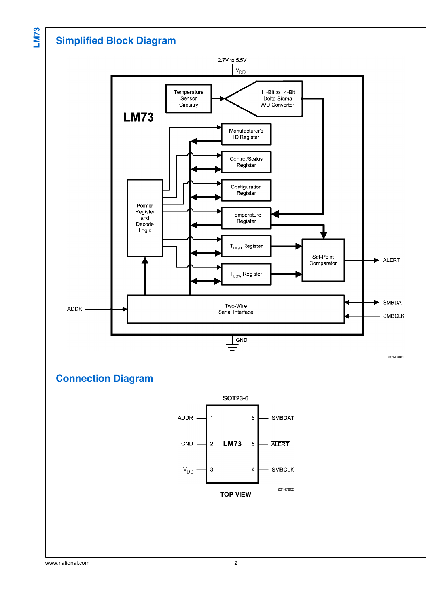## **Simplified Block Diagram**



**Connection Diagram**

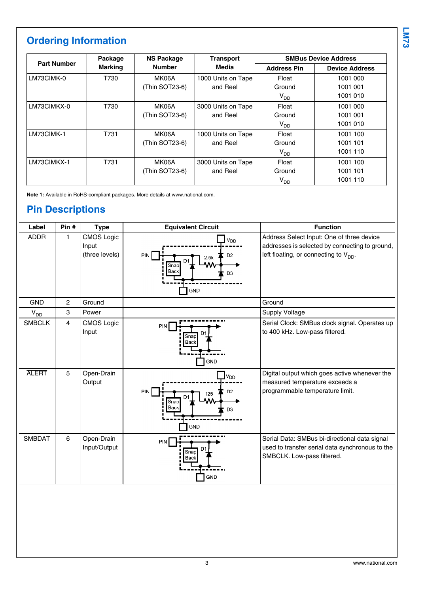# **Ordering Information**

| <b>Part Number</b> | Package        | <b>NS Package</b> | <b>Transport</b>   |                    | <b>SMBus Device Address</b> |  |
|--------------------|----------------|-------------------|--------------------|--------------------|-----------------------------|--|
|                    | <b>Marking</b> | <b>Number</b>     | Media              | <b>Address Pin</b> | <b>Device Address</b>       |  |
| LM73CIMK-0         | T730           | MK06A             | 1000 Units on Tape | Float              | 1001 000                    |  |
|                    |                | (Thin SOT23-6)    | and Reel           | Ground             | 1001 001                    |  |
|                    |                |                   |                    | $V_{DD}$           | 1001 010                    |  |
| LM73CIMKX-0        | T730           | MK06A             | 3000 Units on Tape | Float              | 1001 000                    |  |
|                    |                | (Thin SOT23-6)    | and Reel           | Ground             | 1001 001                    |  |
|                    |                |                   |                    | $V_{DD}$           | 1001 010                    |  |
| LM73CIMK-1         | T731           | MK06A             | 1000 Units on Tape | Float              | 1001 100                    |  |
|                    |                | (Thin SOT23-6)    | and Reel           | Ground             | 1001 101                    |  |
|                    |                |                   |                    | $V_{DD}$           | 1001 110                    |  |
| LM73CIMKX-1        | T731           | MK06A             | 3000 Units on Tape | Float              | 1001 100                    |  |
|                    |                | (Thin SOT23-6)    | and Reel           | Ground             | 1001 101                    |  |
|                    |                |                   |                    | V <sub>DD</sub>    | 1001 110                    |  |

**Note 1:** Available in RoHS-compliant packages. More details at www.national.com.

## **Pin Descriptions**

| Label         | Pin#           | <b>Type</b>                                  | <b>Equivalent Circuit</b>                                                                        | <b>Function</b>                                                                                                                           |
|---------------|----------------|----------------------------------------------|--------------------------------------------------------------------------------------------------|-------------------------------------------------------------------------------------------------------------------------------------------|
| <b>ADDR</b>   | 1              | <b>CMOS Logic</b><br>Input<br>(three levels) | V <sub>DD</sub><br>PIN<br>D <sub>2</sub><br>2.5k<br>Snap<br>Back<br>D <sub>3</sub><br><b>GND</b> | Address Select Input: One of three device<br>addresses is selected by connecting to ground,<br>left floating, or connecting to $V_{DD}$ . |
| <b>GND</b>    | 2              | Ground                                       |                                                                                                  | Ground                                                                                                                                    |
| $V_{DD}$      | 3              | Power                                        |                                                                                                  | Supply Voltage                                                                                                                            |
| <b>SMBCLK</b> | $\overline{4}$ | <b>CMOS Logic</b><br>Input                   | PIN<br>Snap<br><b>Back</b><br>GND                                                                | Serial Clock: SMBus clock signal. Operates up<br>to 400 kHz. Low-pass filtered.                                                           |
| <b>ALERT</b>  | 5              | Open-Drain<br>Output                         | V <sub>DD</sub><br>PIN<br>D <sub>2</sub><br>125<br>Snap<br>Back<br>D <sub>3</sub><br><b>GND</b>  | Digital output which goes active whenever the<br>measured temperature exceeds a<br>programmable temperature limit.                        |
| <b>SMBDAT</b> | 6              | Open-Drain<br>Input/Output                   | PIN<br>Snap<br>Back<br><b>GND</b>                                                                | Serial Data: SMBus bi-directional data signal<br>used to transfer serial data synchronous to the<br>SMBCLK. Low-pass filtered.            |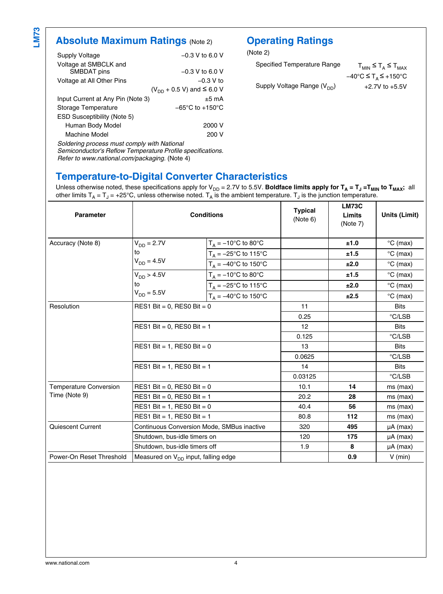## **Absolute Maximum Ratings (Note [2](#page-5-0))**

| Supply Voltage                              | $-0.3$ V to 6.0 V                   |
|---------------------------------------------|-------------------------------------|
| Voltage at SMBCLK and                       |                                     |
| SMBDAT pins                                 | $-0.3$ V to 6.0 V                   |
| Voltage at All Other Pins                   | $-0.3 V$ to                         |
|                                             | $(V_{DD} + 0.5 V)$ and $\leq 6.0 V$ |
| Input Current at Any Pin (Note 3)           | $±5$ mA                             |
| Storage Temperature                         | $-65^{\circ}$ C to $+150^{\circ}$ C |
| <b>ESD Susceptibility (Note 5)</b>          |                                     |
| Human Body Model                            | 2000 V                              |
| Machine Model                               | 200 V                               |
| Soldering process must comply with National |                                     |

*Soldering process must comply with National Semiconductor's Reflow Temperature Profile specifications. Refer to www.national.com/packaging.* (Note [4](#page-5-0))

## **Operating Ratings**

(Note [2\)](#page-5-0)

| Specified Temperature Range     | $T_{MIN} \leq T_A \leq T_{MAX}$                                |
|---------------------------------|----------------------------------------------------------------|
|                                 | $-40^{\circ}$ C $\leq$ T <sub>A</sub> $\leq$ +150 $^{\circ}$ C |
| Supply Voltage Range $(V_{DD})$ | $+2.7V$ to $+5.5V$                                             |

### **Temperature-to-Digital Converter Characteristics**

Unless otherwise noted, these specifications apply for V<sub>DD</sub> = 2.7V to 5.5V. **Boldface limits apply for T<sub>A</sub> = T<sub>J</sub> =T<sub>MIN</sub> to T<sub>MAX</sub>; all** other limits  $T_A$  =  $T_J$  = +25°C, unless otherwise noted.  $T_A$  is the ambient temperature.  $T_J$  is the junction temperature.

| <b>Parameter</b>              | <b>Conditions</b>                                                                           |                                | <b>Typical</b><br>(Note 6) | <b>LM73C</b><br>Limits<br>(Note 7) | Units (Limit)              |
|-------------------------------|---------------------------------------------------------------------------------------------|--------------------------------|----------------------------|------------------------------------|----------------------------|
| Accuracy (Note 8)             | $V_{DD} = 2.7V$                                                                             | $T_A = -10$ °C to 80°C         |                            | ±1.0                               | $\mathrm{^{\circ}C}$ (max) |
|                               | to                                                                                          | $T_A = -25^{\circ}$ C to 115°C |                            | ±1.5                               | $\mathrm{^{\circ}C}$ (max) |
|                               | $V_{DD} = 4.5V$                                                                             | $T_A = -40^{\circ}C$ to 150°C  |                            | ±2.0                               | $\degree$ C (max)          |
|                               | $V_{DD} > 4.5V$                                                                             | $T_A = -10$ °C to 80°C         |                            | ±1.5                               | $\mathrm{^{\circ}C}$ (max) |
|                               | to                                                                                          | $T_A = -25^{\circ}C$ to 115°C  |                            | ±2.0                               | $^{\circ}$ C (max)         |
|                               | $V_{DD} = 5.5V$                                                                             | $T_A = -40$ °C to 150°C        |                            | ±2.5                               | $\degree$ C (max)          |
| Resolution                    | RES1 Bit = $0$ , RES0 Bit = $0$                                                             |                                | 11                         |                                    | <b>Bits</b>                |
|                               |                                                                                             |                                | 0.25                       |                                    | °C/LSB                     |
|                               | RES1 Bit = $0$ , RES0 Bit = 1<br>RES1 Bit = 1, RES0 Bit = $0$<br>RES1 Bit = 1, RES0 Bit = 1 |                                | 12                         |                                    | <b>Bits</b>                |
|                               |                                                                                             |                                | 0.125                      |                                    | °C/LSB                     |
|                               |                                                                                             |                                | 13                         |                                    | <b>Bits</b>                |
|                               |                                                                                             |                                | 0.0625                     |                                    | °C/LSB                     |
|                               |                                                                                             |                                | 14                         |                                    | <b>Bits</b>                |
|                               |                                                                                             |                                | 0.03125                    |                                    | °C/LSB                     |
| <b>Temperature Conversion</b> | RES1 Bit = $0$ , RES0 Bit = $0$                                                             |                                | 10.1                       | 14                                 | ms (max)                   |
| Time (Note 9)                 | RES1 Bit = $0$ , RES0 Bit = 1                                                               |                                | 20.2                       | 28                                 | $ms$ (max)                 |
|                               | RES1 Bit = 1, RES0 Bit = $0$                                                                |                                | 40.4                       | 56                                 | $ms$ (max)                 |
|                               | RES1 Bit = $1$ , RES0 Bit = $1$                                                             |                                | 80.8                       | 112                                | $ms$ (max)                 |
| Quiescent Current             | Continuous Conversion Mode, SMBus inactive                                                  |                                | 320                        | 495                                | $\mu A$ (max)              |
| Shutdown, bus-idle timers on  |                                                                                             | 120                            | 175                        | $\mu A$ (max)                      |                            |
|                               | Shutdown, bus-idle timers off                                                               |                                | 1.9                        | 8                                  | $\mu A$ (max)              |
| Power-On Reset Threshold      | Measured on V <sub>DD</sub> input, falling edge                                             |                                |                            | 0.9                                | $V$ (min)                  |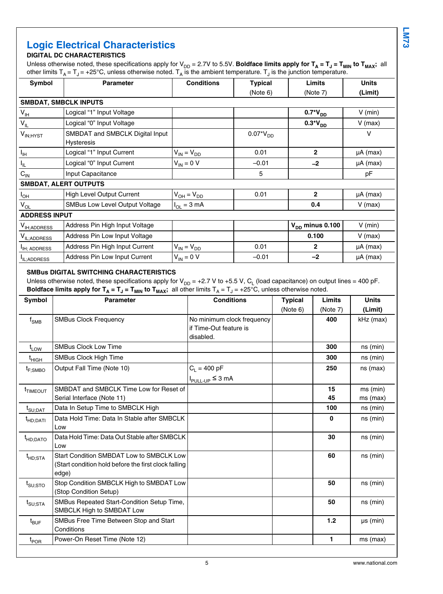## **Logic Electrical Characteristics**

### **DIGITAL DC CHARACTERISTICS**

Unless otherwise noted, these specifications apply for V<sub>DD</sub> = 2.7V to 5.5V. **Boldface limits apply for T<sub>A</sub> = T<sub>J</sub> = T<sub>MIN</sub> to T<sub>MAX</sub>; all** other limits T<sub>A</sub> = T<sub>J</sub> = +25°C, unless otherwise noted. T<sub>A</sub> is the ambient temperature. T<sub>J</sub> is the junction temperature.

| <b>Parameter</b>                                     | <b>Conditions</b>       | <b>Typical</b> | Limits               | <b>Units</b>  |
|------------------------------------------------------|-------------------------|----------------|----------------------|---------------|
|                                                      |                         | (Note 6)       | (Note 7)             | (Limit)       |
| <b>SMBDAT, SMBCLK INPUTS</b>                         |                         |                |                      |               |
| Logical "1" Input Voltage                            |                         |                | $0.7*V_{DD}$         | $V$ (min)     |
| Logical "0" Input Voltage                            |                         |                | $0.3*V_{DD}$         | $V$ (max)     |
| SMBDAT and SMBCLK Digital Input<br><b>Hysteresis</b> |                         | $0.07*V_{DD}$  |                      | v             |
| Logical "1" Input Current                            | $V_{IN} = V_{DD}$       | 0.01           | $\mathbf{2}$         | $\mu A$ (max) |
| Logical "0" Input Current                            | $V_{IN} = 0 V$          | $-0.01$        | $-2$                 | $\mu A$ (max) |
| Input Capacitance                                    |                         | 5              |                      | pF            |
| <b>SMBDAT, ALERT OUTPUTS</b>                         |                         |                |                      |               |
| High Level Output Current                            | $V_{OH} = V_{DD}$       | 0.01           | $\mathbf{2}$         | $\mu A$ (max) |
| <b>SMBus Low Level Output Voltage</b>                | $I_{OL} = 3 \text{ mA}$ |                | 0.4                  | $V$ (max)     |
| <b>ADDRESS INPUT</b>                                 |                         |                |                      |               |
| Address Pin High Input Voltage                       |                         |                | $V_{DD}$ minus 0.100 | $V$ (min)     |
| Address Pin Low Input Voltage                        |                         |                | 0.100                | $V$ (max)     |
| Address Pin High Input Current                       | $V_{IN} = V_{DD}$       | 0.01           | $\mathbf{2}$         | $\mu A$ (max) |
| Address Pin Low Input Current                        | $V_{IN} = 0 V$          | $-0.01$        | $-2$                 | $\mu A$ (max) |
|                                                      |                         |                |                      |               |

#### **SMBus DIGITAL SWITCHING CHARACTERISTICS**

Unless otherwise noted, these specifications apply for V<sub>DD</sub> = +2.7 V to +5.5 V, C<sub>L</sub> (load capacitance) on output lines = 400 pF. <code>Boldface limits apply for T $_{\sf A}$  = T $_{\sf J}$  = T $_{\sf MIN}$  to T $_{\sf MAX}$ ; all other limits T $_{\sf A}$  = T $_{\sf J}$  = +25°C, unless otherwise noted.</code>

| <b>Symbol</b>                  | <b>Parameter</b>                                                                                          | <b>Conditions</b>                                                 | <b>Typical</b> | Limits   | <b>Units</b>             |
|--------------------------------|-----------------------------------------------------------------------------------------------------------|-------------------------------------------------------------------|----------------|----------|--------------------------|
|                                |                                                                                                           |                                                                   | (Note 6)       | (Note 7) | (Limit)                  |
| $f_{\mathsf{SMB}}$             | <b>SMBus Clock Frequency</b>                                                                              | No minimum clock frequency<br>if Time-Out feature is<br>disabled. |                | 400      | kHz (max)                |
| $t_{LOW}$                      | <b>SMBus Clock Low Time</b>                                                                               |                                                                   |                | 300      | $ns$ (min)               |
| $t_{\sf HIGH}$                 | SMBus Clock High Time                                                                                     |                                                                   |                | 300      | ns (min)                 |
| $t_{F;SMBO}$                   | Output Fall Time (Note 10)                                                                                | $C_1 = 400 pF$<br>$I_{PULL-UP} \leq 3 \text{ mA}$                 |                | 250      | $ns$ (max)               |
| <sup>t</sup> TIMEOUT           | SMBDAT and SMBCLK Time Low for Reset of<br>Serial Interface (Note 11)                                     |                                                                   |                | 15<br>45 | $ms$ (min)<br>$ms$ (max) |
| $t_{\text{SU:DAT}}$            | Data In Setup Time to SMBCLK High                                                                         |                                                                   |                | 100      | ns (min)                 |
| $t_{HD;DATI}$                  | Data Hold Time: Data In Stable after SMBCLK<br>Low                                                        |                                                                   |                | 0        | $ns$ (min)               |
| <sup>t</sup> HD;DATO           | Data Hold Time: Data Out Stable after SMBCLK<br>Low                                                       |                                                                   |                | 30       | ns (min)                 |
| <sup>t</sup> HD:STA            | Start Condition SMBDAT Low to SMBCLK Low<br>(Start condition hold before the first clock falling<br>edge) |                                                                   |                | 60       | $ns$ (min)               |
| $t_{\mathsf{SU};\mathsf{STO}}$ | Stop Condition SMBCLK High to SMBDAT Low<br>(Stop Condition Setup)                                        |                                                                   |                | 50       | ns (min)                 |
| $t_{\text{SU;STA}}$            | SMBus Repeated Start-Condition Setup Time,<br>SMBCLK High to SMBDAT Low                                   |                                                                   |                | 50       | $ns$ (min)               |
| $t_{\mathsf{BUF}}$             | SMBus Free Time Between Stop and Start<br>Conditions                                                      |                                                                   |                | 1.2      | $\mu s$ (min)            |
| t <sub>POR</sub>               | Power-On Reset Time (Note 12)                                                                             |                                                                   |                | 1        | ms (max)                 |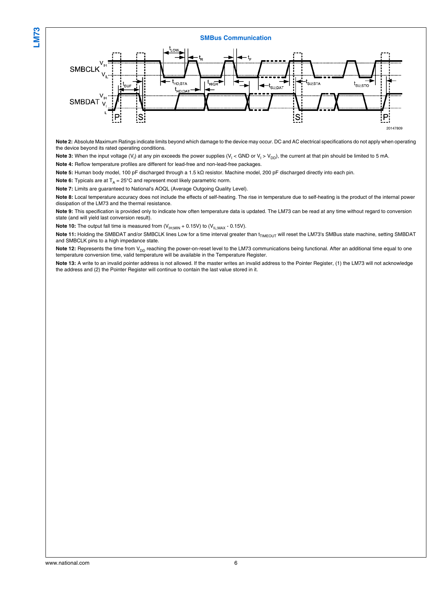#### **SMBus Communication**



**Note 2:** Absolute Maximum Ratings indicate limits beyond which damage to the device may occur. DC and AC electrical specifications do not apply when operating the device beyond its rated operating conditions.

Note 3: When the input voltage (V<sub>I</sub>) at any pin exceeds the power supplies (V<sub>I</sub> < GND or V<sub>I</sub> > V<sub>DD</sub>), the current at that pin should be limited to 5 mA.

**Note 4:** Reflow temperature profiles are different for lead-free and non-lead-free packages.

**Note 5:** Human body model, 100 pF discharged through a 1.5 kΩ resistor. Machine model, 200 pF discharged directly into each pin.

**Note 6:** Typicals are at  $T_A = 25^\circ \text{C}$  and represent most likely parametric norm.

**Note 7:** Limits are guaranteed to National's AOQL (Average Outgoing Quality Level).

**Note 8:** Local temperature accuracy does not include the effects of self-heating. The rise in temperature due to self-heating is the product of the internal power dissipation of the LM73 and the thermal resistance.

**Note 9:** This specification is provided only to indicate how often temperature data is updated. The LM73 can be read at any time without regard to conversion state (and will yield last conversion result).

**Note 10:** The output fall time is measured from  $(V_{H;MIN} + 0.15V)$  to  $(V_{IL;MAX} - 0.15V)$ .

Note 11: Holding the SMBDAT and/or SMBCLK lines Low for a time interval greater than t<sub>TIMEOUT</sub> will reset the LM73's SMBus state machine, setting SMBDAT and SMBCLK pins to a high impedance state.

Note 12: Represents the time from V<sub>DD</sub> reaching the power-on-reset level to the LM73 communications being functional. After an additional time equal to one temperature conversion time, valid temperature will be available in the Temperature Register.

**Note 13:** A write to an invalid pointer address is not allowed. If the master writes an invalid address to the Pointer Register, (1) the LM73 will not acknowledge the address and (2) the Pointer Register will continue to contain the last value stored in it.

<span id="page-5-0"></span>**LM73**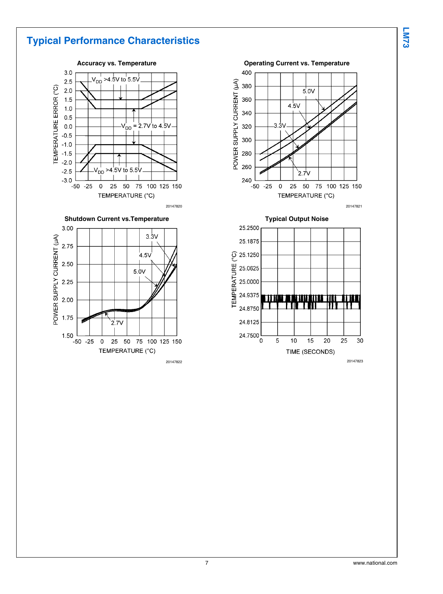## **Typical Performance Characteristics**









**Typical Output Noise**

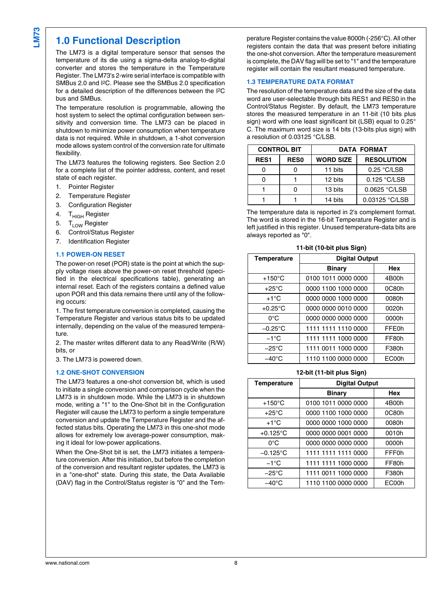### **1.0 Functional Description**

The LM73 is a digital temperature sensor that senses the temperature of its die using a sigma-delta analog-to-digital converter and stores the temperature in the Temperature Register. The LM73's 2-wire serial interface is compatible with SMBus 2.0 and I2C. Please see the SMBus 2.0 specification for a detailed description of the differences between the I2C bus and SMBus.

The temperature resolution is programmable, allowing the host system to select the optimal configuration between sensitivity and conversion time. The LM73 can be placed in shutdown to minimize power consumption when temperature data is not required. While in shutdown, a 1-shot conversion mode allows system control of the conversion rate for ultimate flexibility.

The LM73 features the following registers. See Section 2.0 for a complete list of the pointer address, content, and reset state of each register.

- 1. Pointer Register
- 2. Temperature Register
- 3. Configuration Register
- 4. T<sub>HIGH</sub> Register
- 
- 5. T<sub>LOW</sub> Register<br>6. Control/Status 6. Control/Status Register
- 7. Identification Register

#### **1.1 POWER-ON RESET**

The power-on reset (POR) state is the point at which the supply voltage rises above the power-on reset threshold (specified in the electrical specifications table), generating an internal reset. Each of the registers contains a defined value upon POR and this data remains there until any of the following occurs:

1. The first temperature conversion is completed, causing the Temperature Register and various status bits to be updated internally, depending on the value of the measured temperature.

2. The master writes different data to any Read/Write (R/W) bits, or

3. The LM73 is powered down.

#### **1.2 ONE-SHOT CONVERSION**

The LM73 features a one-shot conversion bit, which is used to initiate a single conversion and comparison cycle when the LM73 is in shutdown mode. While the LM73 is in shutdown mode, writing a "1" to the One-Shot bit in the Configuration Register will cause the LM73 to perform a single temperature conversion and update the Temperature Register and the affected status bits. Operating the LM73 in this one-shot mode allows for extremely low average-power consumption, making it ideal for low-power applications.

When the One-Shot bit is set, the LM73 initiates a temperature conversion. After this initiation, but before the completion of the conversion and resultant register updates, the LM73 is in a "one-shot" state. During this state, the Data Available (DAV) flag in the Control/Status register is "0" and the Temperature Register contains the value 8000h (-256°C). All other registers contain the data that was present before initiating the one-shot conversion. After the temperature measurement is complete, the DAV flag will be set to "1" and the temperature register will contain the resultant measured temperature.

#### **1.3 TEMPERATURE DATA FORMAT**

The resolution of the temperature data and the size of the data word are user-selectable through bits RES1 and RES0 in the Control/Status Register. By default, the LM73 temperature stores the measured temperature in an 11-bit (10 bits plus sign) word with one least significant bit (LSB) equal to 0.25° C. The maximum word size is 14 bits (13-bits plus sign) with a resolution of 0.03125 °C/LSB.

| <b>CONTROL BIT</b> |                  | <b>DATA FORMAT</b> |                   |  |
|--------------------|------------------|--------------------|-------------------|--|
| RES <sub>1</sub>   | RES <sub>0</sub> | <b>WORD SIZE</b>   | <b>RESOLUTION</b> |  |
|                    |                  | 11 bits            | 0.25 °C/LSB       |  |
|                    |                  | 12 bits            | 0.125 °C/LSB      |  |
|                    |                  | 13 bits            | 0.0625 °C/LSB     |  |
|                    |                  | 14 bits            | 0.03125 °C/LSB    |  |

The temperature data is reported in 2's complement format. The word is stored in the 16-bit Temperature Register and is left justified in this register. Unused temperature-data bits are always reported as "0".

| <b>Temperature</b> | <b>Digital Output</b> |              |  |  |
|--------------------|-----------------------|--------------|--|--|
|                    | <b>Binary</b>         | Hex          |  |  |
| $+150^{\circ}$ C   | 0100 1011 0000 0000   | 4B00h        |  |  |
| $+25^{\circ}$ C    | 0000 1100 1000 0000   | 0C80h        |  |  |
| $+1^{\circ}C$      | 0000 0000 1000 0000   | 0080h        |  |  |
| $+0.25^{\circ}$ C  | 0000 0000 0010 0000   | 0020h        |  |  |
| $0^{\circ}$ C      | 0000 0000 0000 0000   | 0000h        |  |  |
| $-0.25^{\circ}$ C  | 1111 1111 1110 0000   | <b>FFE0h</b> |  |  |
| $-1$ °C            | 1111 1111 1000 0000   | FF80h        |  |  |
| $-25^{\circ}$ C    | 1111 0011 1000 0000   | F380h        |  |  |
| $-40^{\circ}$ C    | 1110 1100 0000 0000   | EC00h        |  |  |

#### **11-bit (10-bit plus Sign)**

#### **12-bit (11-bit plus Sign)**

|                    | <b>IL DILITUR PROJECT</b> |              |  |  |
|--------------------|---------------------------|--------------|--|--|
| <b>Temperature</b> | <b>Digital Output</b>     |              |  |  |
|                    | <b>Binary</b>             | Hex          |  |  |
| $+150^{\circ}$ C   | 0100 1011 0000 0000       | 4B00h        |  |  |
| $+25^{\circ}$ C    | 0000 1100 1000 0000       | 0C80h        |  |  |
| $+1^{\circ}C$      | 0000 0000 1000 0000       | 0080h        |  |  |
| $+0.125^{\circ}$ C | 0000 0000 0001 0000       | 0010h        |  |  |
| $0^{\circ}$ C      | 0000 0000 0000 0000       | 0000h        |  |  |
| $-0.125^{\circ}$ C | 1111 1111 1111 0000       | <b>FFF0h</b> |  |  |
| $-1^{\circ}$ C     | 1111 1111 1000 0000       | FF80h        |  |  |
| $-25^{\circ}$ C    | 1111 0011 1000 0000       | F380h        |  |  |
| $-40^{\circ}$ C    | 1110 1100 0000 0000       | EC00h        |  |  |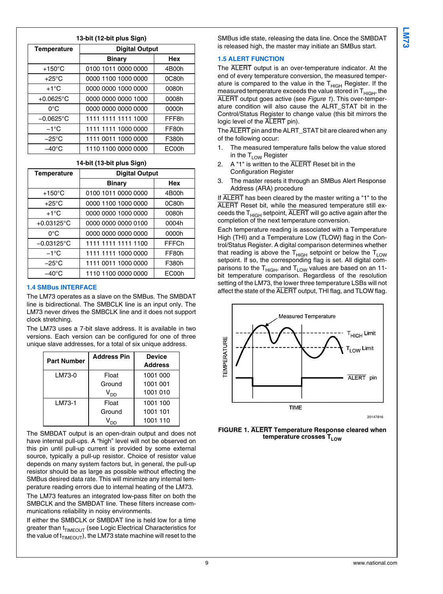#### **13-bit (12-bit plus Sign)**

| <b>Temperature</b> | <b>Digital Output</b> |       |  |
|--------------------|-----------------------|-------|--|
|                    | <b>Binary</b>         | Hex   |  |
| $+150^{\circ}$ C   | 0100 1011 0000 0000   | 4B00h |  |
| $+25^{\circ}$ C    | 0000 1100 1000 0000   | 0C80h |  |
| $+1^{\circ}C$      | 0000 0000 1000 0000   | 0080h |  |
| $+0.0625$ °C       | 0000 0000 0000 1000   | 0008h |  |
| $0^{\circ}$ C      | 0000 0000 0000 0000   | 0000h |  |
| $-0.0625$ °C       | 1111 1111 1111 1000   | FFF8h |  |
| $-1$ °C            | 1111 1111 1000 0000   | FF80h |  |
| $-25^{\circ}$ C    | 1111 0011 1000 0000   | F380h |  |
| $-40^{\circ}$ C    | 1110 1100 0000 0000   | EC00h |  |

#### **14-bit (13-bit plus Sign)**

| <b>Temperature</b>   | <b>Digital Output</b> |       |  |  |  |  |
|----------------------|-----------------------|-------|--|--|--|--|
|                      | <b>Binary</b>         | Hex   |  |  |  |  |
| $+150^{\circ}$ C     | 0100 1011 0000 0000   | 4B00h |  |  |  |  |
| $+25^{\circ}$ C      | 0000 1100 1000 0000   | 0C80h |  |  |  |  |
| $+1^{\circ}C$        | 0000 0000 1000 0000   | 0080h |  |  |  |  |
| $+0.03125^{\circ}$ C | 0000 0000 0000 0100   | 0004h |  |  |  |  |
| $0^{\circ}$ C        | 0000 0000 0000 0000   | 0000h |  |  |  |  |
| $-0.03125^{\circ}$ C | 1111 1111 1111 1100   | FFFCh |  |  |  |  |
| $-1$ °C              | 1111 1111 1000 0000   | FF80h |  |  |  |  |
| $-25^{\circ}$ C      | 1111 0011 1000 0000   | F380h |  |  |  |  |
| $-40^{\circ}$ C      | 1110 1100 0000 0000   | EC00h |  |  |  |  |

#### **1.4 SMBus INTERFACE**

The LM73 operates as a slave on the SMBus. The SMBDAT line is bidirectional. The SMBCLK line is an input only. The LM73 never drives the SMBCLK line and it does not support clock stretching.

The LM73 uses a 7-bit slave address. It is available in two versions. Each version can be configured for one of three unique slave addresses, for a total of six unique address.

| <b>Part Number</b> | Address Pin     | <b>Device</b>  |
|--------------------|-----------------|----------------|
|                    |                 | <b>Address</b> |
| LM73-0             | Float           | 1001 000       |
|                    | Ground          | 1001 001       |
|                    | V <sub>DD</sub> | 1001 010       |
| LM73-1             | Float           | 1001 100       |
|                    | Ground          | 1001 101       |
|                    |                 | 1001 110       |

The SMBDAT output is an open-drain output and does not have internal pull-ups. A "high" level will not be observed on this pin until pull-up current is provided by some external source, typically a pull-up resistor. Choice of resistor value depends on many system factors but, in general, the pull-up resistor should be as large as possible without effecting the SMBus desired data rate. This will minimize any internal temperature reading errors due to internal heating of the LM73.

The LM73 features an integrated low-pass filter on both the SMBCLK and the SMBDAT line. These filters increase communications reliability in noisy environments.

If either the SMBCLK or SMBDAT line is held low for a time greater than  $t_{TIMEOUT}$  (see Logic Electrical Characteristics for the value of  $t_{TIMEOUT}$ , the LM73 state machine will reset to the

SMBus idle state, releasing the data line. Once the SMBDAT is released high, the master may initiate an SMBus start.

#### **1.5 ALERT FUNCTION**

The ALERT output is an over-temperature indicator. At the end of every temperature conversion, the measured temperature is compared to the value in the  $T<sub>HIGH</sub>$  Register. If the measured temperature exceeds the value stored in  $T<sub>HIGH</sub>$ , the ALERT output goes active (see *Figure 1*). This over-temperature condition will also cause the ALRT\_STAT bit in the Control/Status Register to change value (this bit mirrors the logic level of the ALERT pin).

The ALERT pin and the ALRT STAT bit are cleared when any of the following occur:

- 1. The measured temperature falls below the value stored in the  $T_{LOW}$  Register
- A "1" is written to the ALERT Reset bit in the Configuration Register
- 3. The master resets it through an SMBus Alert Response Address (ARA) procedure

If ALERT has been cleared by the master writing a "1" to the ALERT Reset bit, while the measured temperature still exceeds the  $T<sub>HIGH</sub>$  setpoint,  $\overline{ALERT}$  will go active again after the completion of the next temperature conversion.

Each temperature reading is associated with a Temperature High (THI) and a Temperature Low (TLOW) flag in the Control/Status Register. A digital comparison determines whether that reading is above the  $T_{HIGH}$  setpoint or below the  $T_{LOW}$ setpoint. If so, the corresponding flag is set. All digital comparisons to the  $T_{HIGH}$ , and  $T_{LOW}$  values are based on an 11bit temperature comparison. Regardless of the resolution setting of the LM73, the lower three temperature LSBs will not affect the state of the ALERT output, THI flag, and TLOW flag.



20147816

**FIGURE 1. ALERT Temperature Response cleared when temperature crosses TLOW**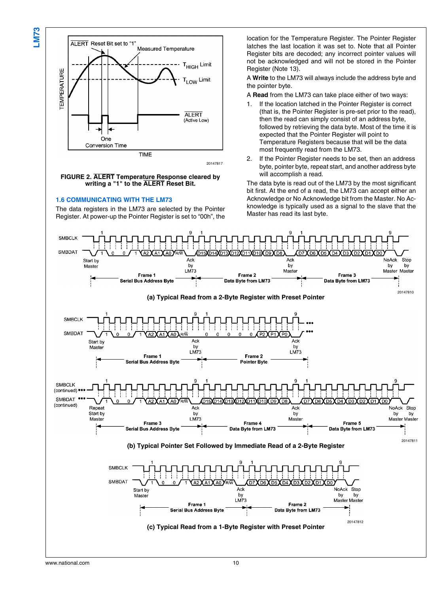



#### **FIGURE 2. ALERT Temperature Response cleared by writing a "1" to the ALERT Reset Bit.**

#### **1.6 COMMUNICATING WITH THE LM73**

The data registers in the LM73 are selected by the Pointer Register. At power-up the Pointer Register is set to "00h", the location for the Temperature Register. The Pointer Register latches the last location it was set to. Note that all Pointer Register bits are decoded; any incorrect pointer values will not be acknowledged and will not be stored in the Pointer Register (Note [13](#page-5-0)).

A **Write** to the LM73 will always include the address byte and the pointer byte.

A **Read** from the LM73 can take place either of two ways:

- 1. If the location latched in the Pointer Register is correct (that is, the Pointer Register is pre-set prior to the read), then the read can simply consist of an address byte, followed by retrieving the data byte. Most of the time it is expected that the Pointer Register will point to Temperature Registers because that will be the data most frequently read from the LM73.
- 2. If the Pointer Register needs to be set, then an address byte, pointer byte, repeat start, and another address byte will accomplish a read.

The data byte is read out of the LM73 by the most significant bit first. At the end of a read, the LM73 can accept either an Acknowledge or No Acknowledge bit from the Master. No Acknowledge is typically used as a signal to the slave that the Master has read its last byte.

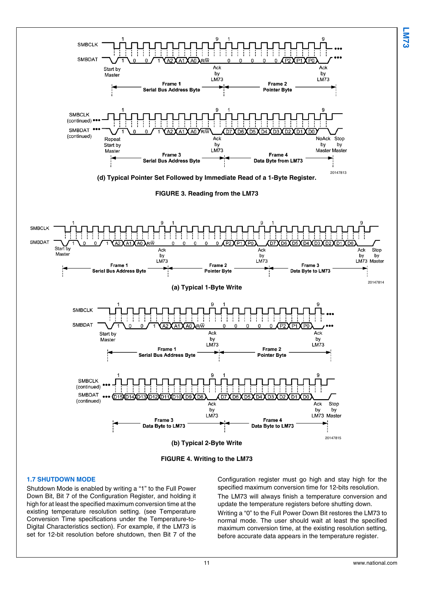

#### **1.7 SHUTDOWN MODE**

Shutdown Mode is enabled by writing a "1" to the Full Power Down Bit, Bit 7 of the Configuration Register, and holding it high for at least the specified maximum conversion time at the existing temperature resolution setting. (see Temperature Conversion Time specifications under the Temperature-to-Digital Characteristics section). For example, if the LM73 is set for 12-bit resolution before shutdown, then Bit 7 of the

Configuration register must go high and stay high for the specified maximum conversion time for 12-bits resolution. The LM73 will always finish a temperature conversion and update the temperature registers before shutting down. Writing a "0" to the Full Power Down Bit restores the LM73 to normal mode. The user should wait at least the specified maximum conversion time, at the existing resolution setting,

before accurate data appears in the temperature register.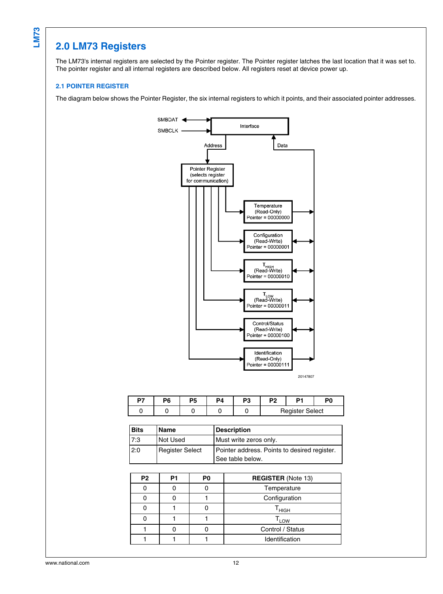## **2.0 LM73 Registers**

The LM73's internal registers are selected by the Pointer register. The Pointer register latches the last location that it was set to. The pointer register and all internal registers are described below. All registers reset at device power up.

#### **2.1 POINTER REGISTER**

The diagram below shows the Pointer Register, the six internal registers to which it points, and their associated pointer addresses.



| D7 | P6 | Р5 | DΔ | D?<br>۰., | P <sub>2</sub>         |  | DЛ |
|----|----|----|----|-----------|------------------------|--|----|
|    |    |    |    |           | <b>Register Select</b> |  |    |

| <b>Bits</b> | Name                   | <b>Description</b>                                               |
|-------------|------------------------|------------------------------------------------------------------|
| 7:3         | l Not Used             | Must write zeros only.                                           |
| 2:0         | <b>Register Select</b> | Pointer address. Points to desired register.<br>See table below. |

| P <sub>2</sub> | P1 | P0 | <b>REGISTER (Note 13)</b> |  |  |
|----------------|----|----|---------------------------|--|--|
|                |    |    | Temperature               |  |  |
|                |    |    | Configuration             |  |  |
|                |    |    | <sup>I</sup> HIGH         |  |  |
|                |    |    | 'LOW                      |  |  |
|                |    |    | Control / Status          |  |  |
|                |    |    | Identification            |  |  |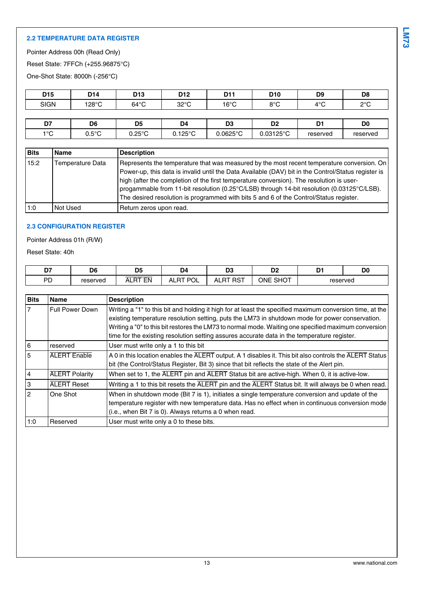#### **2.2 TEMPERATURE DATA REGISTER**

Pointer Address 00h (Read Only)

Reset State: 7FFCh (+255.96875°C)

One-Shot State: 8000h (-256°C)

| D <sub>15</sub> | D <sub>14</sub> | D <sub>13</sub> | D <sub>12</sub> | D11            | D <sub>10</sub> | D <sub>9</sub>       | D <sub>8</sub> |
|-----------------|-----------------|-----------------|-----------------|----------------|-----------------|----------------------|----------------|
| <b>SIGN</b>     | 128°C           | $64^{\circ}$ C  | $32^{\circ}$ C  | $16^{\circ}$ C | 8°C             | $4^{\circ}$ C<br>+ ∪ | $2^{\circ}$ C  |
|                 |                 |                 |                 |                |                 |                      |                |

| --<br>-<br>$ -$      | D6<br>$\sim$            | <b>DE</b><br>υ.<br>$\sim$ | D <sub>4</sub>    | n,<br>w                   | Do.<br>יי                 | n.<br>∼  | D0       |
|----------------------|-------------------------|---------------------------|-------------------|---------------------------|---------------------------|----------|----------|
| 10 <sup>o</sup><br>∼ | $E^{\circ}$<br>ບ.ບ<br>ັ | $J.25^{\circ}$ C          | $J.125^{\circ}$ ∩ | $.0625^{\circ}\mathrm{C}$ | .03125 $^{\circ}$ C<br>uo | reserved | reserved |
|                      |                         |                           |                   |                           |                           |          |          |

| <b>Bits</b> | Name             | <b>Description</b>                                                                                                                                                                                                                                                                                                                                                                          |
|-------------|------------------|---------------------------------------------------------------------------------------------------------------------------------------------------------------------------------------------------------------------------------------------------------------------------------------------------------------------------------------------------------------------------------------------|
| 15:2        | Temperature Data | Represents the temperature that was measured by the most recent temperature conversion. On<br>Power-up, this data is invalid until the Data Available (DAV) bit in the Control/Status register is<br>high (after the completion of the first temperature conversion). The resolution is user-<br>progammable from 11-bit resolution (0.25°C/LSB) through 14-bit resolution (0.03125°C/LSB). |
|             |                  | The desired resolution is programmed with bits 5 and 6 of the Control/Status register.                                                                                                                                                                                                                                                                                                      |
| 1:0         | l Not Used       | Return zeros upon read.                                                                                                                                                                                                                                                                                                                                                                     |

### **2.3 CONFIGURATION REGISTER**

Pointer Address 01h (R/W)

Reset State: 40h

| --<br>υ. | D <sub>6</sub> | D <sub>5</sub> | D4<br>--                          | D <sub>3</sub> | D <sub>2</sub>     | -<br>-   | D <sub>C</sub> |
|----------|----------------|----------------|-----------------------------------|----------------|--------------------|----------|----------------|
| PD       | reserved       | EN<br>$-$<br>ᇺ | DO.<br>דם .<br>$\mathbf{A}$<br>◡∟ | . RS⊤<br>ALRT  | <b>SHOT</b><br>ONE | reserved |                |

| <b>Bits</b>    | <b>Name</b>            | <b>Description</b>                                                                                                                                                                                                                                                                                                                                                                                                 |
|----------------|------------------------|--------------------------------------------------------------------------------------------------------------------------------------------------------------------------------------------------------------------------------------------------------------------------------------------------------------------------------------------------------------------------------------------------------------------|
|                | <b>Full Power Down</b> | Writing a "1" to this bit and holding it high for at least the specified maximum conversion time, at the<br>existing temperature resolution setting, puts the LM73 in shutdown mode for power conservation.<br>Writing a "0" to this bit restores the LM73 to normal mode. Waiting one specified maximum conversion<br>time for the existing resolution setting assures accurate data in the temperature register. |
| 6              | reserved               | User must write only a 1 to this bit                                                                                                                                                                                                                                                                                                                                                                               |
| 5              | <b>ALERT Enable</b>    | A 0 in this location enables the ALERT output. A 1 disables it. This bit also controls the ALERT Status<br>bit (the Control/Status Register, Bit 3) since that bit reflects the state of the Alert pin.                                                                                                                                                                                                            |
| 4              | <b>ALERT</b> Polarity  | When set to 1, the ALERT pin and ALERT Status bit are active-high. When 0, it is active-low.                                                                                                                                                                                                                                                                                                                       |
| 3              | <b>ALERT</b> Reset     | Writing a 1 to this bit resets the ALERT pin and the ALERT Status bit. It will always be 0 when read.                                                                                                                                                                                                                                                                                                              |
| $\overline{2}$ | One Shot               | When in shutdown mode (Bit 7 is 1), initiates a single temperature conversion and update of the<br>temperature register with new temperature data. Has no effect when in continuous conversion mode<br>(i.e., when Bit 7 is 0). Always returns a 0 when read.                                                                                                                                                      |
| 1:0            | Reserved               | User must write only a 0 to these bits.                                                                                                                                                                                                                                                                                                                                                                            |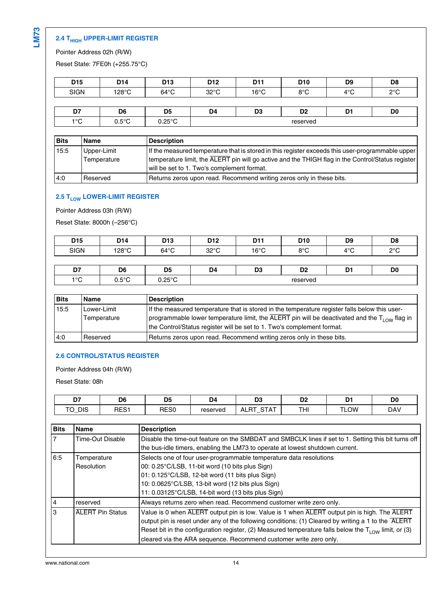### **2.4 THIGH UPPER-LIMIT REGISTER**

Pointer Address 02h (R/W)

Reset State: 7FE0h (+255.75°C)

| D <sub>15</sub> | D14   | D <sub>13</sub> | D <sub>12</sub> | D11            | D <sub>10</sub>        | D9                | D <sub>8</sub> |
|-----------------|-------|-----------------|-----------------|----------------|------------------------|-------------------|----------------|
| <b>SIGN</b>     | 128°C | $64^{\circ}$ C  | $32^{\circ}$ C  | $16^{\circ}$ C | 00 <sub>C</sub><br>o u | $4^{\circ}C$<br>╰ | $\sim$<br>ں ے  |
|                 |       |                 |                 |                |                        |                   |                |

| --<br>.,                           | D <sub>6</sub>                      | nc<br>س                  | D4            | n0<br>v.<br>and the control of the control of | no.<br>יש<br>$-$ | -<br>- - | D <sub>0</sub><br>___ |
|------------------------------------|-------------------------------------|--------------------------|---------------|-----------------------------------------------|------------------|----------|-----------------------|
| 10 <sup>o</sup><br>$\cdot$ $\cdot$ | . E O C<br>ບ.ບ<br>$\check{ }$<br>__ | <b>OFOL</b><br>∪.∠J<br>. | reserved<br>. |                                               |                  |          |                       |

| <b>Bits</b> | <b>Name</b>                | <b>Description</b>                                                                                                                                                                                                                                  |
|-------------|----------------------------|-----------------------------------------------------------------------------------------------------------------------------------------------------------------------------------------------------------------------------------------------------|
| 15:5        | Upper-Limit<br>Temperature | If the measured temperature that is stored in this register exceeds this user-programmable upper<br>temperature limit, the ALERT pin will go active and the THIGH flag in the Control/Status register<br>will be set to 1. Two's complement format. |
| 4:0         | Reserved                   | Returns zeros upon read. Recommend writing zeros only in these bits.                                                                                                                                                                                |

### **2.5 TLOW LOWER-LIMIT REGISTER**

Pointer Address 03h (R/W)

Reset State: 8000h (–256°C)

| D <sub>15</sub> | D <sub>14</sub> | D <sub>13</sub> | D <sub>12</sub> | D11            | D <sub>10</sub> | D <sub>9</sub> | D <sub>8</sub> |
|-----------------|-----------------|-----------------|-----------------|----------------|-----------------|----------------|----------------|
| <b>SIGN</b>     | 128°C           | $64^{\circ}$ C  | $32^{\circ}$ C  | $16^{\circ}$ C | 8°C             | $4^{\circ}$ C  | $2^{\circ}$ C  |
|                 |                 |                 |                 |                |                 |                |                |
| $\sim$          | ne.             | D.E.            | D <sub>A</sub>  | no.            | $\mathbf{a}$    | DA.            | D <sub>n</sub> |

| $\sim$<br>יש     | D <sub>6</sub><br>$\sim$ | - -<br>_<br>$\sim$ | D.<br>$\cdot$<br>- - | no.<br>υJ<br>$\sim$ | n,<br>∽       | -<br>$\sim$<br>_ | D <sub>0</sub> |
|------------------|--------------------------|--------------------|----------------------|---------------------|---------------|------------------|----------------|
| $\overline{100}$ | $\Gamma$<br>ں.,          | 0.50C              |                      |                     | reserved<br>. |                  |                |

| <b>Bits</b> | <b>Name</b> | <b>Description</b>                                                                                                    |
|-------------|-------------|-----------------------------------------------------------------------------------------------------------------------|
| 15:5        | Lower-Limit | If the measured temperature that is stored in the temperature register falls below this user-                         |
|             | Temperature | programmable lower temperature limit, the $\overline{ALERT}$ pin will be deactivated and the T <sub>LOW</sub> flag in |
|             |             | the Control/Status register will be set to 1. Two's complement format.                                                |
| 4:0         | Reserved    | Returns zeros upon read. Recommend writing zeros only in these bits.                                                  |

#### **2.6 CONTROL/STATUS REGISTER**

Pointer Address 04h (R/W)

Reset State: 08h

| --<br>υ.                      | D6            | nг<br>Uü<br>$\sim$ | D4       | D3<br>$\sim$                                        | D0<br><b>_</b> | D   | D <sub>0</sub> |
|-------------------------------|---------------|--------------------|----------|-----------------------------------------------------|----------------|-----|----------------|
| <b>DIS</b><br>$-$<br>ັ<br>. — | RES1<br>. כ⊐ר | RES <sub>0</sub>   | reserved | $\sim$ $\sim$ $\sim$<br>$\sim$<br>AL.<br>1 m i<br>ີ | ≖⊔⊥<br>I FII   | LOW | <b>DAV</b>     |

| <b>Bits</b> | <b>Name</b>               | <b>Description</b>                                                                                                                                                                                                                                                                                                                                                                    |
|-------------|---------------------------|---------------------------------------------------------------------------------------------------------------------------------------------------------------------------------------------------------------------------------------------------------------------------------------------------------------------------------------------------------------------------------------|
|             | <b>Time-Out Disable</b>   | Disable the time-out feature on the SMBDAT and SMBCLK lines if set to 1. Setting this bit turns off<br>the bus-idle timers, enabling the LM73 to operate at lowest shutdown current.                                                                                                                                                                                                  |
| 6:5         | Temperature<br>Resolution | Selects one of four user-programmable temperature data resolutions<br>00: 0.25°C/LSB, 11-bit word (10 bits plus Sign)<br>01: 0.125°C/LSB, 12-bit word (11 bits plus Sign)<br>10: 0.0625°C/LSB, 13-bit word (12 bits plus Sign)<br>11: 0.03125°C/LSB, 14-bit word (13 bits plus Sign)                                                                                                  |
| 14          | reserved                  | Always returns zero when read. Recommend customer write zero only.                                                                                                                                                                                                                                                                                                                    |
| IЗ          | <b>ALERT Pin Status</b>   | Value is 0 when ALERT output pin is low. Value is 1 when ALERT output pin is high. The ALERT<br>output pin is reset under any of the following conditions: (1) Cleared by writing a 1 to the ALERT<br>Reset bit in the configuration register, (2) Measured temperature falls below the $T_{1.0W}$ limit, or (3)<br>cleared via the ARA sequence. Recommend customer write zero only. |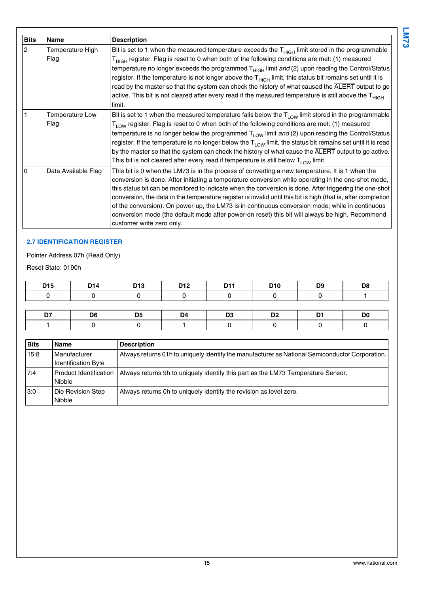| <b>Bits</b>    | Name                           | <b>Description</b>                                                                                                                                                                                                                                                                                                                                                                                                                                                                                                                                                                                                                                                        |
|----------------|--------------------------------|---------------------------------------------------------------------------------------------------------------------------------------------------------------------------------------------------------------------------------------------------------------------------------------------------------------------------------------------------------------------------------------------------------------------------------------------------------------------------------------------------------------------------------------------------------------------------------------------------------------------------------------------------------------------------|
| $\overline{2}$ | Temperature High<br>Flag       | Bit is set to 1 when the measured temperature exceeds the $THIGH$ limit stored in the programmable<br>T <sub>HIGH</sub> register. Flag is reset to 0 when both of the following conditions are met: (1) measured<br>temperature no longer exceeds the programmed T <sub>HIGH</sub> limit and (2) upon reading the Control/Status<br>register. If the temperature is not longer above the $THIGH$ limit, this status bit remains set until it is<br>read by the master so that the system can check the history of what caused the ALERT output to go<br>active. This bit is not cleared after every read if the measured temperature is still above the $THIGH$<br>limit. |
|                | <b>Temperature Low</b><br>Flag | Bit is set to 1 when the measured temperature falls below the $T_{1.0W}$ limit stored in the programmable<br>T <sub>LOW</sub> register. Flag is reset to 0 when both of the following conditions are met: (1) measured<br>temperature is no longer below the programmed $T_{LOW}$ limit and (2) upon reading the Control/Status<br>register. If the temperature is no longer below the $T_{LOW}$ limit, the status bit remains set until it is read<br>by the master so that the system can check the history of what cause the ALERT output to go active.<br>This bit is not cleared after every read if temperature is still below $T_{LOW}$ limit.                     |
| $\Omega$       | Data Available Flag            | This bit is 0 when the LM73 is in the process of converting a new temperature. It is 1 when the<br>conversion is done. After initiating a temperature conversion while operating in the one-shot mode,<br>this status bit can be monitored to indicate when the conversion is done. After triggering the one-shot<br>conversion, the data in the temperature register is invalid until this bit is high (that is, after completion<br>of the conversion). On power-up, the LM73 is in continuous conversion mode; while in continuous<br>conversion mode (the default mode after power-on reset) this bit will always be high. Recommend<br>customer write zero only.     |

### **2.7 IDENTIFICATION REGISTER**

### Pointer Address 07h (Read Only)

Reset State: 0190h

| D <sub>15</sub> | D <sub>14</sub> | D <sub>13</sub> | D <sub>12</sub> | D <sub>11</sub> | D <sub>10</sub> | D <sub>9</sub> | D8             |
|-----------------|-----------------|-----------------|-----------------|-----------------|-----------------|----------------|----------------|
|                 |                 |                 |                 |                 |                 |                |                |
|                 |                 |                 |                 |                 |                 |                |                |
| D7              | D6              | D <sub>5</sub>  | D <sub>4</sub>  | D <sub>3</sub>  | D <sub>2</sub>  | D <sub>1</sub> | D <sub>0</sub> |
|                 |                 |                 |                 |                 |                 |                |                |

| <b>Bits</b> | Name                     | <b>Description</b>                                                                              |
|-------------|--------------------------|-------------------------------------------------------------------------------------------------|
| 15:8        | l Manufacturer           | Always returns 01h to uniquely identify the manufacturer as National Semiconductor Corporation. |
|             | Identification Byte      |                                                                                                 |
| 7:4         | l Product Identification | Always returns 9h to uniquely identify this part as the LM73 Temperature Sensor.                |
|             | Nibble                   |                                                                                                 |
| 3:0         | Die Revision Step        | Always returns 0h to uniquely identify the revision as level zero.                              |
|             | Nibble                   |                                                                                                 |

**LM73**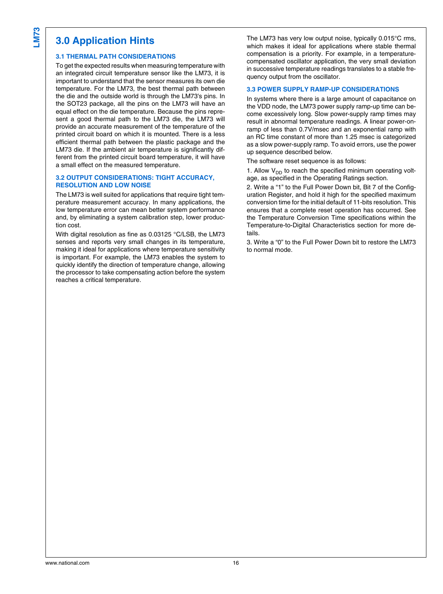### **3.0 Application Hints**

#### **3.1 THERMAL PATH CONSIDERATIONS**

To get the expected results when measuring temperature with an integrated circuit temperature sensor like the LM73, it is important to understand that the sensor measures its own die temperature. For the LM73, the best thermal path between the die and the outside world is through the LM73's pins. In the SOT23 package, all the pins on the LM73 will have an equal effect on the die temperature. Because the pins represent a good thermal path to the LM73 die, the LM73 will provide an accurate measurement of the temperature of the printed circuit board on which it is mounted. There is a less efficient thermal path between the plastic package and the LM73 die. If the ambient air temperature is significantly different from the printed circuit board temperature, it will have a small effect on the measured temperature.

#### **3.2 OUTPUT CONSIDERATIONS: TIGHT ACCURACY, RESOLUTION AND LOW NOISE**

The LM73 is well suited for applications that require tight temperature measurement accuracy. In many applications, the low temperature error can mean better system performance and, by eliminating a system calibration step, lower production cost.

With digital resolution as fine as 0.03125 °C/LSB, the LM73 senses and reports very small changes in its temperature, making it ideal for applications where temperature sensitivity is important. For example, the LM73 enables the system to quickly identify the direction of temperature change, allowing the processor to take compensating action before the system reaches a critical temperature.

The LM73 has very low output noise, typically 0.015°C rms, which makes it ideal for applications where stable thermal compensation is a priority. For example, in a temperaturecompensated oscillator application, the very small deviation in successive temperature readings translates to a stable frequency output from the oscillator.

#### **3.3 POWER SUPPLY RAMP-UP CONSIDERATIONS**

In systems where there is a large amount of capacitance on the VDD node, the LM73 power supply ramp-up time can become excessively long. Slow power-supply ramp times may result in abnormal temperature readings. A linear power-onramp of less than 0.7V/msec and an exponential ramp with an RC time constant of more than 1.25 msec is categorized as a slow power-supply ramp. To avoid errors, use the power up sequence described below.

The software reset sequence is as follows:

1. Allow  $V_{DD}$  to reach the specified minimum operating voltage, as specified in the Operating Ratings section.

2. Write a "1" to the Full Power Down bit, Bit 7 of the Configuration Register, and hold it high for the specified maximum conversion time for the initial default of 11-bits resolution. This ensures that a complete reset operation has occurred. See the Temperature Conversion Time specifications within the Temperature-to-Digital Characteristics section for more details.

3. Write a "0" to the Full Power Down bit to restore the LM73 to normal mode.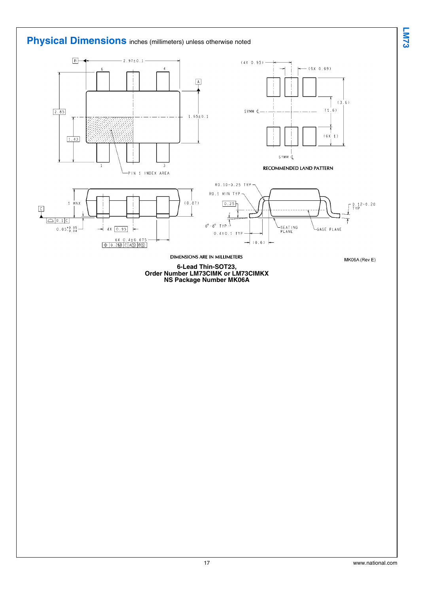